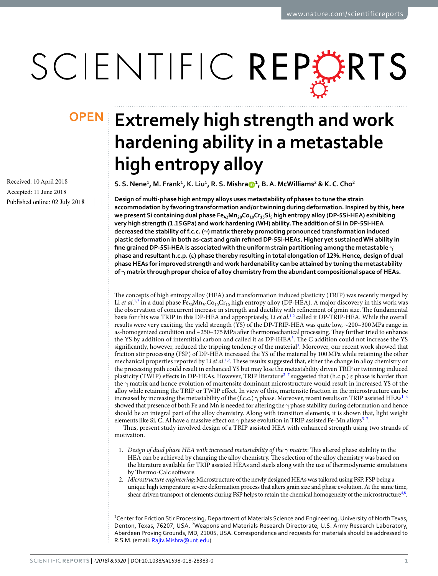# SCIENTIFIC REPERTS

Received: 10 April 2018 Accepted: 11 June 2018 Published online: 02 July 2018

## **Extremely high strength and work OPENhardening ability in a metastable high entropy alloy**

**S. S. Nene<sup>1</sup> , M. Frank<sup>1</sup> , K. Liu<sup>1</sup> , R. S. Mishra<sup>1</sup> , B. A. McWilliams<sup>2</sup> & K. C. Cho<sup>2</sup>**

**Design of multi-phase high entropy alloys uses metastability of phases to tune the strain accommodation by favoring transformation and/or twinning during deformation. Inspired by this, here we present Si containing dual phase Fe42Mn28Co10Cr15Si<sup>5</sup> high entropy alloy (DP-5Si-HEA) exhibiting very high strength (1.15 GPa) and work hardening (WH) ability. The addition of Si in DP-5Si-HEA decreased the stability of f.c.c. (γ) matrix thereby promoting pronounced transformation induced plastic deformation in both as-cast and grain refined DP-5Si-HEAs. Higher yet sustained WH ability in fine grained DP-5Si-HEA is associated with the uniform strain partitioning among the metastable γ phase and resultant h.c.p. (ε) phase thereby resulting in total elongation of 12%. Hence, design of dual phase HEAs for improved strength and work hardenability can be attained by tuning the metastability of γ matrix through proper choice of alloy chemistry from the abundant compositional space of HEAs.**

The concepts of high entropy alloy (HEA) and transformation induced plasticity (TRIP) was recently merged by Li *et al*.<sup>[1](#page-6-0),[2](#page-6-1)</sup> in a dual phase Fe<sub>50</sub>Mn<sub>30</sub>Co<sub>10</sub>Cr<sub>10</sub> high entropy alloy (DP-HEA). A major discovery in this work was the observation of concurrent increase in strength and ductility with refinement of grain size. The fundamental basis for this was TRIP in this DP-HEA and appropriately, Li et al.<sup>[1,](#page-6-0)[2](#page-6-1)</sup> called it DP-TRIP-HEA. While the overall results were very exciting, the yield strength (YS) of the DP-TRIP-HEA was quite low, ~200–300 MPa range in as-homogenized condition and ~250–375 MPa after thermomechanical processing. They further tried to enhance the YS by addition of interstitial carbon and called it as DP-iHEA<sup>[3](#page-6-2)</sup>. The C addition could not increase the YS significantly, however, reduced the tripping tendency of the material<sup>[3](#page-6-2)</sup>. Moreover, our recent work showed that friction stir processing (FSP) of DP-HEA increased the YS of the material by 100 MPa while retaining the other mechanical properties reported by Li et al.<sup>[1,](#page-6-0)[2](#page-6-1)</sup>. These results suggested that, either the change in alloy chemistry or the processing path could result in enhanced YS but may lose the metastability driven TRIP or twinning induced plasticity (TWIP) effects in DP-HEAs. However, TRIP literature<sup>2-[7](#page-6-3)</sup> suggested that (h.c.p.)  $\varepsilon$  phase is harder than the γ matrix and hence evolution of martensite dominant microstructure would result in increased YS of the alloy while retaining the TRIP or TWIP effect. In view of this, martensite fraction in the microstructure can be increased by increasing the metastability of the (f.c.c.) γ phase. Moreover, recent results on TRIP assisted HEAs<sup>1-[4](#page-6-4)</sup> showed that presence of both Fe and Mn is needed for altering the  $\gamma$  phase stability during deformation and hence should be an integral part of the alloy chemistry. Along with transition elements, it is shown that, light weight elements like Si, C, Al have a massive effect on  $\gamma$  phase evolution in TRIP assisted Fe-Mn alloys<sup>5-[7](#page-6-3)</sup>.

Thus, present study involved design of a TRIP assisted HEA with enhanced strength using two strands of motivation.

- 1. Design of dual phase HEA with increased metastability of the *γ* matrix: This altered phase stability in the HEA can be achieved by changing the alloy chemistry. The selection of the alloy chemistry was based on the literature available for TRIP assisted HEAs and steels along with the use of thermodynamic simulations by Thermo-Calc software.
- 2. Microstructure engineering: Microstructure of the newly designed HEAs was tailored using FSP. FSP being a unique high temperature severe deformation process that alters grain size and phase evolution. At the same time, shear driven transport of elements during FSP helps to retain the chemical homogeneity of the microstructure<sup>[4](#page-6-4)[,8](#page-6-6)</sup>.

<sup>1</sup>Center for Friction Stir Processing, Department of Materials Science and Engineering, University of North Texas, Denton, Texas, 76207, USA. <sup>2</sup>Weapons and Materials Research Directorate, U.S. Army Research Laboratory, Aberdeen Proving Grounds, MD, 21005, USA. Correspondence and requests for materials should be addressed to R.S.M. (email: [Rajiv.Mishra@unt.edu](mailto:Rajiv.Mishra@unt.edu))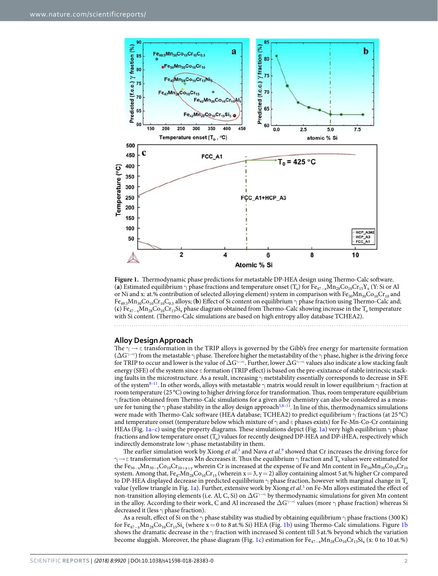

<span id="page-1-0"></span>**Figure 1.** Thermodynamic phase predictions for metastable DP-HEA design using Thermo-Calc software. (**a**) Estimated equilibrium  $\gamma$  phase fractions and temperature onset (T<sub>o</sub>) for Fe<sub>47−x</sub>Mn<sub>28</sub>Co<sub>10</sub>Cr<sub>15</sub>Y<sub>x</sub> (Y: Si or Al or Ni and x: at.% contribution of selected alloying element) system in comparison with Fe<sub>50</sub>Mn<sub>30</sub>Co<sub>10</sub>Cr<sub>10</sub> and Fe49.5Mn30Co10Cr10C0.5 alloys; (**b**) Effect of Si content on equilibrium γ phase fraction using Thermo-Calc and; (**c**) Fe<sub>47−x</sub>Mn<sub>28</sub>Co<sub>10</sub>Cr<sub>15</sub>Si<sub>x</sub> phase diagram obtained from Thermo-Calc showing increase in the T<sub>o</sub> temperature with Si content. (Thermo-Calc simulations are based on high entropy alloy database TCHEA2).

### **Alloy Design Approach**

The  $\gamma \rightarrow \epsilon$  transformation in the TRIP alloys is governed by the Gibb's free energy for martensite formation ( $\Delta G^{\gamma\to\varepsilon}$ ) from the metastable  $\gamma$  phase. Therefore higher the metastability of the  $\gamma$  phase, higher is the driving force for TRIP to occur and lower is the value of  $\Delta G$ <sup> $\rightarrow \epsilon$ </sup>. Further, lower  $\Delta G$ <sup> $\rightarrow \epsilon$ </sup> values also indicate a low stacking fault energy (SFE) of the system since ε formation (TRIP effect) is based on the pre-exixtance of stable intrincsic stacking faults in the microstructure. As a result, increasing  $\gamma$  metstability essentially corresponds to decrease in SFE of the system<sup>[8–](#page-6-6)[11](#page-6-7)</sup>. In other words, alloys with metastable  $\gamma$  matrix would result in lower equilibrium  $\gamma$  fraction at room temperature (25 °C) owing to higher driving force for transformation. Thus, room temperature equilibrium  $\gamma$  fraction obtained from Thermo-Calc simulations for a given alloy chemistry can also be considered as a measure for tuning the  $\gamma$  phase stability in the alloy design approach<sup>[5](#page-6-5)[,8](#page-6-6)[–11](#page-6-7)</sup>. In line of this, thermodynamics simulations were made with Thermo-Calc software (HEA database; TCHEA2) to predict equilibrium γ fractions (at 25 °C) and temperature onset (temperature below which mixture of  $\gamma$  and  $\epsilon$  phases exists) for Fe-Mn-Co-Cr containing HEAs (Fig. [1a–c](#page-1-0)) using the property diagrams. These simulations depict (Fig. [1a](#page-1-0)) very high equilibrium  $\gamma$  phase fractions and low temperature onset  $(T_o)$  values for recently designed DP-HEA and DP-iHEA, respectively which indirectly demonstrate low  $\gamma$  phase metastability in them.

The earlier simulation work by Xiong et al.<sup>[5](#page-6-5)</sup> and Nava et al.<sup>[9](#page-6-8)</sup> showed that Cr increases the driving force for  $\gamma$   $\rightarrow$   $\epsilon$  transformation whereas Mn decreases it. Thus the equilibrium  $\gamma$  fraction and  $T_{\rm o}$  values were estimated for the Fe<sub>50–x</sub>Mn<sub>30−y</sub>Co<sub>10</sub>Cr<sub>10+x+y</sub> wherein Cr is increased at the expense of Fe and Mn content in Fe<sub>50</sub>Mn<sub>30</sub>Co<sub>10</sub>Cr<sub>10</sub> system. Among that,  $Fe_{47}Mn_{28}Co_{10}Cr_{15}$  (wherein x = 3, y = 2) alloy containing almost 5 at.% higher Cr compared to DP-HEA displayed decrease in predicted equilibrium  $\gamma$  phase fraction, however with marginal change in T<sub>o</sub> value (yellow triangle in Fig. [1a](#page-1-0)). Further, extensive work by Xiong et al.<sup>[5](#page-6-5)</sup> on Fe-Mn alloys estimated the effect of non-transition alloying elements (i.e. Al, C, Si) on  $\Delta G^{\gamma \to \epsilon}$  by thermodynamic simulations for given Mn content in the alloy. According to their work, C and Al increased the  $\Delta G^{\neg\neg\epsilon}$  values (more  $\gamma$  phase fraction) whereas Si decreased it (less  $\gamma$  phase fraction).

As a result, effect of Si on the  $\gamma$  phase stability was studied by obtaining equilibrium  $\gamma$  phase fractions (300 K) for Fe<sub>47−x</sub>Mn<sub>28</sub>Co<sub>10</sub>Cr<sub>15</sub>Si<sub>x</sub> (where x = 0 to 8 at.% Si) HEA (Fig. [1b](#page-1-0)) using Thermo-Calc simulations. Figure [1b](#page-1-0) shows the dramatic decrease in the  $\gamma$  fraction with increased Si content till 5 at.% beyond which the variation become sluggish. Moreover, the phase diagram (Fig. [1c\)](#page-1-0) estimation for  $Fe_{47-x}Mn_{28}Co_{10}Cr_{15}Si_x$  (x: 0 to 10 at.%)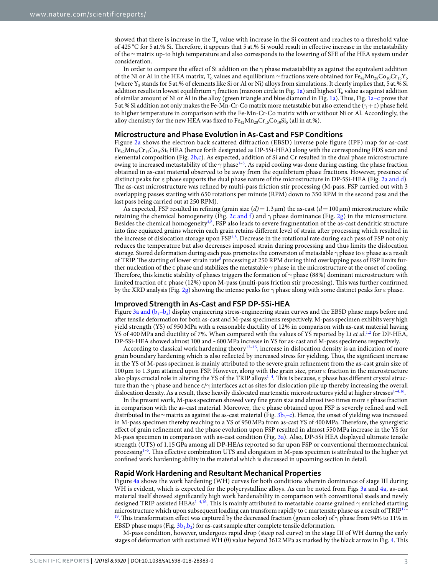showed that there is increase in the  $T_0$  value with increase in the Si content and reaches to a threshold value of 425 °C for 5 at.% Si. Therefore, it appears that 5 at.% Si would result in effective increase in the metastability of the  $\gamma$  matrix up-to high temperature and also corresponds to the lowering of SFE of the HEA system under consideration.

In order to compare the effect of Si addtion on the  $\gamma$  phase metastability as against the equivalent addition of the Ni or Al in the HEA matrix, T<sub>o</sub> values and equilibrium  $\gamma$  fractions were obtained for Fe<sub>42</sub>Mn<sub>28</sub>Co<sub>10</sub>Cr<sub>15</sub>Y<sub>5</sub> (where  $Y_5$  stands for 5 at.% of elements like Si or Al or Ni) alloys from simulations. It clearly implies that, 5 at.% Si addition results in lowest equilibrium  $\gamma$  fraction (maroon circle in Fig. [1a\)](#page-1-0) and highest  $T_{\rm o}$  value as against addition of similar amount of Ni or Al in the alloy (green triangle and blue diamond in Fig. [1a](#page-1-0)). Thus, Fig. [1a–c](#page-1-0) prove that 5 at.% Si addition not only makes the Fe-Mn-Cr-Co matrix more metastable but also extend the ( $\gamma + \epsilon$ ) phase field to higher temperature in comparison with the Fe-Mn-Cr-Co matrix with or without Ni or Al. Accordingly, the alloy chemistry for the new HEA was fixed to  $Fe_{42}Mn_{28}Cr_{15}Co_{10}Si_5$  (all in at.%).

### **Microstructure and Phase Evolution in As-Cast and FSP Conditions**

Figure [2a](#page-3-0) shows the electron back scattered diffraction (EBSD) inverse pole figure (IPF) map for as-cast  $Fe_{42}Mn_{28}Cr_{15}Co_{10}Si$  HEA (hence forth designated as DP-5Si-HEA) along with the corresponding EDS scan and elemental composition (Fig. [2b,c\)](#page-3-0). As expected, addition of Si and Cr resulted in the dual phase microstructure owing to increased metastability of the  $\gamma$  phase<sup>[1–](#page-6-0)[5](#page-6-5)</sup>. As rapid cooling was done during casting, the phase fraction obtained in as-cast material observed to be away from the equilibrium phase fractions. However, presence of distinct peaks for ε phase supports the dual phase nature of the microstructure in DP-5Si-HEA (Fig. [2a and d](#page-3-0)). The as-cast microstructure was refined by multi-pass friction stir processing (M-pass, FSP carried out with 3 overlapping passes starting with 650 rotations per minute (RPM) down to 350 RPM in the second pass and the last pass being carried out at 250 RPM).

As expected, FSP resulted in refining (grain size  $(d) = 1.3 \,\text{\mu m}$ ) the as-cast  $(d = 100 \,\text{\mu m})$  microstructure while retaining the chemical homogeneity (Fig. [2c and f](#page-3-0)) and  $\gamma$  phase dominance (Fig. [2g](#page-3-0)) in the microstructure. Besides the chemical homogeneity<sup>[4,](#page-6-4)[8](#page-6-6)</sup>, FSP also leads to severe fragmentation of the as-cast dendritic structure into fine equiaxed grains wherein each grain retains different level of strain after processing which resulted in the increase of dislocation storage upon FSP<sup>[4,](#page-6-4)[8](#page-6-6)</sup>. Decrease in the rotational rate during each pass of FSP not only reduces the temperature but also decreases imposed strain during processing and thus limits the dislocation storage. Stored deformation during each pass promotes the conversion of metastable γ phase to ε phase as a result of TRIP. The starting of lower strain rate<sup>[8](#page-6-6)</sup> processing at 250 RPM during third overlapping pass of FSP limits further nucleation of the  $\epsilon$  phase and stabilizes the metastable  $\gamma$  phase in the microstructure at the onset of cooling. Therefore, this kinetic stability of phases triggers the formation of  $\gamma$  phase (88%) dominant microstructure with limited fraction of ε phase (12%) upon M-pass (multi-pass friction stir processing). This was further confirmed by the XRD analysis (Fig. [2g](#page-3-0)) showing the intense peaks for  $\gamma$  phase along with some distinct peaks for  $\epsilon$  phase.

#### **Improved Strength in As-Cast and FSP DP-5Si-HEA**

Figure 3a and  $(b_1-b_4)$  display engineering stress-engineering strain curves and the EBSD phase maps before and after tensile deformation for both as-cast and M-pass specimens respectively. M-pass specimen exhibits very high yield strength (YS) of 950 MPa with a reasonable ductility of 12% in comparison with as-cast material having YS of 400 MPa and ductility of 7%. When compared with the values of YS reported by Li et al.<sup>[1](#page-6-0),[2](#page-6-1)</sup> for DP-HEA, DP-5Si-HEA showed almost 100 and ~600 MPa increase in YS for as-cast and M-pass specimens respectively.

According to classical work hardening theory<sup>[12–](#page-6-9)[15](#page-6-10)</sup>, increase in dislocation density is an indication of more grain boundary hardening which is also reflected by increased stress for yielding. Thus, the significant increase in the YS of M-pass specimen is mainly attributed to the severe grain refinement from the as-cast grain size of 100 µm to 1.3 µm attained upon FSP. However, along with the grain size, prior ε fraction in the microstructure also plays crucial role in altering the YS of the TRIP alloys<sup>1-[4](#page-6-4)</sup>. This is because,  $\varepsilon$  phase has different crystal structure than the  $\gamma$  phase and hence  $\epsilon/\gamma$  interfaces act as sites for dislocation pile up thereby increasing the overall dislocation density. As a result, these heavily dislocated martensitic microstructures yield at higher stresses $1-4,16$  $1-4,16$  $1-4,16$ .

In the present work, M-pass specimen showed very fine grain size and almost two times more ε phase fraction in comparison with the as-cast material. Moreover, the  $\varepsilon$  phase obtained upon FSP is severely refined and well distributed in the  $\gamma$  matrix as against the as-cast material (Fig. [3b](#page-4-0)<sub>3</sub>–c). Hence, the onset of yielding was increased in M-pass specimen thereby reaching to a YS of 950 MPa from as-cast YS of 400 MPa. Therefore, the synergistic effect of grain refinement and the phase evolution upon FSP resulted in almost 550 MPa increase in the YS for M-pass specimen in comparison with as-cast condition (Fig. [3a](#page-4-0)). Also, DP-5Si HEA displayed ultimate tensile strength (UTS) of 1.15 GPa among all DP-HEAs reported so far upon FSP or conventional thermomechanical processing<sup>1-[5](#page-6-5)</sup>. This effective combination UTS and elongation in M-pass specimen is attributed to the higher yet confined work hardening ability in the material which is discussed in upcoming section in detail.

#### **Rapid Work Hardening and Resultant Mechanical Properties**

Figure [4a](#page-4-1) shows the work hardening (WH) curves for both conditions wherein dominance of stage III during WH is evident, which is expected for the polycrystalline alloys. As can be noted from Figs [3a](#page-4-0) and [4a](#page-4-1), as-cast material itself showed significantly high work hardenability in comparison with conventional steels and newly designed TRIP assisted HEAs<sup>1-[4,](#page-6-4)[16](#page-6-11)</sup>. This is mainly attributed to metastable coarse grained  $γ$  enriched starting microstructure which upon subsequent loading can transform rapidly to  $\varepsilon$  martensite phase as a result of TRIP<sup>17</sup>-<sup>[19](#page-7-0)</sup>. This transformation effect was captured by the decreased fraction (green color) of  $\gamma$  phase from 94% to 11% in EBSD phase maps (Fig.  $3b_1$ , $b_2$ ) for as-cast sample after complete tensile deformation.

M-pass condition, however, undergoes rapid drop (steep red curve) in the stage III of WH during the early stages of deformation with sustained WH (θ) value beyond 3612 MPa as marked by the black arrow in Fig. [4.](#page-4-1) This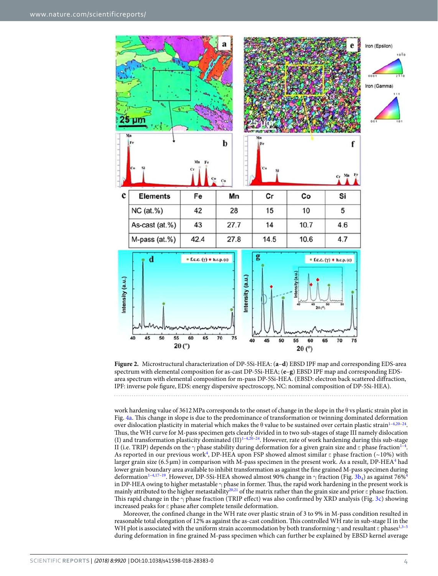

<span id="page-3-0"></span>**Figure 2.** Microstructural characterization of DP-5Si-HEA: (**a**–**d**) EBSD IPF map and corresponding EDS-area spectrum with elemental composition for as-cast DP-5Si-HEA; (**e**–**g**) EBSD IPF map and corresponding EDSarea spectrum with elemental composition for m-pass DP-5Si-HEA. (EBSD: electron back scattered diffraction, IPF: inverse pole figure, EDS: energy dispersive spectroscopy, NC: nominal composition of DP-5Si-HEA).

work hardening value of 3612 MPa corresponds to the onset of change in the slope in the  $\theta$  vs plastic strain plot in Fig. [4a](#page-4-1). This change in slope is due to the predominance of transformation or twinning dominated deformation over dislocation plasticity in material which makes the θ value to be sustained over certain plastic strain<sup>1-[4](#page-6-4),20-[24](#page-7-2)</sup>. Thus, the WH curve for M-pass specimen gets clearly divided in to two sub-stages of stage III namely dislocation (I) and transformation plasticity dominated  $(II)^{1-4,20-24}$  $(II)^{1-4,20-24}$  $(II)^{1-4,20-24}$  $(II)^{1-4,20-24}$  $(II)^{1-4,20-24}$  $(II)^{1-4,20-24}$  $(II)^{1-4,20-24}$  $(II)^{1-4,20-24}$  $(II)^{1-4,20-24}$ . However, rate of work hardening during this sub-stage II (i.e. TRIP) depends on the  $\gamma$  phase stability during deformation for a given grain size and  $\varepsilon$  phase fraction $^{1-4}.$  $^{1-4}.$  $^{1-4}.$ As reported in our previous work<sup>[4](#page-6-4)</sup>, DP-HEA upon FSP showed almost similar ε phase fraction (~10%) with larger grain size (6.5µm) in comparison with M-pass specimen in the present work. As a result, DP-HEA<sup>[4](#page-6-4)</sup> had lower grain boundary area available to inhibit transformation as against the fine grained M-pass specimen during deformation<sup>[1–](#page-6-0)[4,](#page-6-4)[17–](#page-6-12)[19](#page-7-0)</sup>. However, DP-5Si-HEA showed almost 90% change in  $\gamma$  fraction (Fig. [3b](#page-4-0)<sub>[4](#page-6-4)</sub>) as against 76%<sup>4</sup> in DP-HEA owing to higher metastable  $\gamma$  phase in former. Thus, the rapid work hardening in the present work is mainly attributed to the higher metastability<sup>[20](#page-7-1)[,21](#page-7-3)</sup> of the matrix rather than the grain size and prior  $\varepsilon$  phase fraction. This rapid change in the  $\gamma$  phase fraction (TRIP effect) was also confirmed by XRD analysis (Fig. [3c\)](#page-4-0) showing increased peaks for ε phase after complete tensile deformation.

Moreover, the confined change in the WH rate over plastic strain of 3 to 9% in M-pass condition resulted in reasonable total elongation of 12% as against the as-cast condition. This controlled WH rate in sub-stage II in the WH plot is associated with the uniform strain accommodation by both transforming  $\gamma$  and resultant  $\varepsilon$  phases<sup>[1,](#page-6-0)[3–](#page-6-2)[5](#page-6-5)</sup> during deformation in fine grained M-pass specimen which can further be explained by EBSD kernel average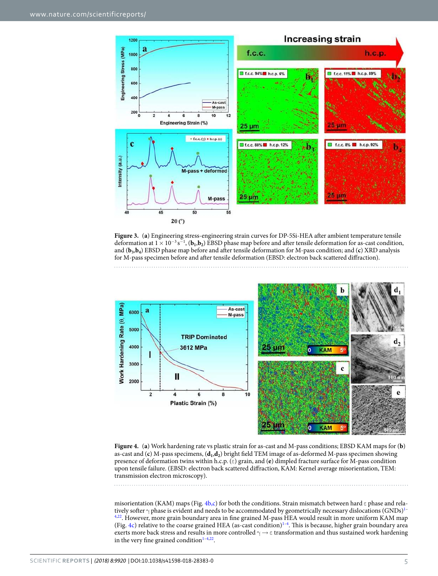

<span id="page-4-0"></span>**Figure 3.** (**a**) Engineering stress-engineering strain curves for DP-5Si-HEA after ambient temperature tensile deformation at  $1 \times 10^{-3}$  s<sup>-1</sup>, (**b**<sub>1</sub>,**b**<sub>2</sub>) EBSD phase map before and after tensile deformation for as-cast condition, and (**b<sup>3</sup>** ,**b4** ) EBSD phase map before and after tensile deformation for M-pass condition; and (**c**) XRD analysis for M-pass specimen before and after tensile deformation (EBSD: electron back scattered diffraction).



<span id="page-4-1"></span>**Figure 4.** (**a**) Work hardening rate vs plastic strain for as-cast and M-pass conditions; EBSD KAM maps for (**b**) as-cast and (**c**) M-pass specimens, (**d<sup>1</sup>** ,**d2** ) bright field TEM image of as-deformed M-pass specimen showing presence of deformation twins within h.c.p. (ε) grain, and (**e**) dimpled fracture surface for M-pass condition upon tensile failure. (EBSD: electron back scattered diffraction, KAM: Kernel average misorientation, TEM: transmission electron microscopy).

misorientation (KAM) maps (Fig.  $4b,c$ ) for both the conditions. Strain mismatch between hard  $\varepsilon$  phase and relatively softer  $\gamma$  phase is evident and needs to be accommodated by geometrically necessary dislocations (GNDs)<sup>[1–](#page-6-0)</sup> [4](#page-6-4),[22](#page-7-4). However, more grain boundary area in fine grained M-pass HEA would result in more uniform KAM map (Fig. [4c\)](#page-4-1) relative to the coarse grained HEA (as-cast condition) $1-4$  $1-4$ . This is because, higher grain boundary area exerts more back stress and results in more controlled  $\gamma \to \epsilon$  transformation and thus sustained work hardening in the very fine grained condition $1-4,22$  $1-4,22$  $1-4,22$ .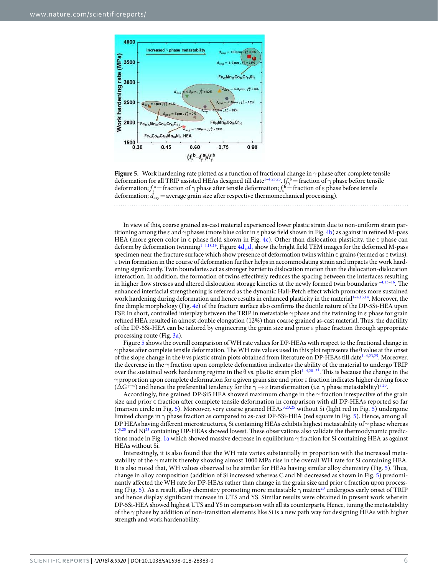

<span id="page-5-0"></span>**Figure 5.** Work hardening rate plotted as a function of fractional change in γ phase after complete tensile deformation for all TRIP assisted HEAs designed till date<sup>[1](#page-6-0)-4[,23,](#page-7-5)[25](#page-7-6)</sup>.  $(f_\gamma^b =$  fraction of  $\gamma$  phase before tensile deformation;  $f_{\gamma}^a$  = fraction of  $\gamma$  phase after tensile deformation;  $f_e^b$  = fraction of  $\epsilon$  phase before tensile deformation;  $d_{avg}$  = average grain size after respective thermomechanical processing). 

In view of this, coarse grained as-cast material experienced lower plastic strain due to non-uniform strain partitioning among the  $\varepsilon$  and  $\gamma$  phases (more blue color in  $\varepsilon$  phase field shown in Fig. [4b\)](#page-4-1) as against in refined M-pass HEA (more green color in  $\epsilon$  phase field shown in Fig. [4c](#page-4-1)). Other than dislocation plasticity, the  $\epsilon$  phase can deform by deformation twinning<sup>[1](#page-6-0)-4[,18](#page-6-13)[,19](#page-7-0)</sup>. Figure  $4d_1, d_2$  show the bright field TEM images for the deformed M-pass specimen near the fracture surface which show presence of deformation twins within  $\epsilon$  grains (termed as  $\epsilon$  twins). ε twin formation in the course of deformation further helps in accommodating strain and impacts the work hardening significantly. Twin boundaries act as stronger barrier to dislocation motion than the dislocation-dislocation interaction. In addition, the formation of twins effectively reduces the spacing between the interfaces resulting in higher flow stresses and altered dislocation storage kinetics at the newly formed twin boundaries<sup>[1](#page-6-0)–[4](#page-6-4),[13](#page-6-14)[–16](#page-6-11)</sup>. The enhanced interfacial strengthening is referred as the dynamic Hall-Petch effect which promotes more sustained work hardening during deformation and hence results in enhanced plasticity in the material<sup>1-[4,](#page-6-4)[13,](#page-6-14)[14](#page-6-15)</sup>. Moreover, the fine dimple morphology (Fig. [4e\)](#page-4-1) of the fracture surface also confirms the ductile nature of the DP-5Si-HEA upon FSP. In short, controlled interplay between the TRIP in metastable  $\gamma$  phase and the twinning in  $\varepsilon$  phase for grain refined HEA resulted in almost double elongation (12%) than coarse grained as-cast material. Thus, the ductility of the DP-5Si-HEA can be tailored by engineering the grain size and prior ε phase fraction through appropriate processing route (Fig. [3a](#page-4-0)).

Figure [5](#page-5-0) shows the overall comparison of WH rate values for DP-HEAs with respect to the fractional change in  $γ$  phase after complete tensile deformation. The WH rate values used in this plot represents the θ value at the onset of the slope change in the θ vs plastic strain plots obtained from literature on DP-HEAs till date[1–](#page-6-0)[4](#page-6-4),[23](#page-7-5),[25](#page-7-6). Moreover, the decrease in the  $\gamma$  fraction upon complete deformation indicates the ability of the material to undergo TRIP over the sustained work hardening regime in the  $\theta$  vs. plastic strain plot<sup>[1–](#page-6-0)[4,](#page-6-4)[20–](#page-7-1)[23](#page-7-5)</sup>. This is because the change in the γ proportion upon complete deformation for a given grain size and prior ε fraction indicates higher driving force  $(\Delta G^{\gamma\to\varepsilon})$  and hence the preferential tendency for the  $\gamma\to\varepsilon$  transformation (i.e.  $\gamma$  phase metastability)<sup>[5](#page-6-5)[,20](#page-7-1)</sup>.

Accordingly, fine grained DP-Si5 HEA showed maximum change in the  $\gamma$  fraction irrespective of the grain size and prior ε fraction after complete tensile deformation in comparison with all DP-HEAs reported so far (maroon circle in Fig. [5](#page-5-0)). Moreover, very coarse grained HEAs[3](#page-6-2),[23](#page-7-5),[25](#page-7-6) without Si (light red in Fig. [5\)](#page-5-0) undergone limited change in γ phase fraction as compared to as-cast DP-5Si-HEA (red square in Fig. [5\)](#page-5-0). Hence, among all DP HEAs having different microstructures, Si containing HEAs exhibits highest metastability of  $\gamma$  phase whereas  $\rm C^{3,25}$  $\rm C^{3,25}$  $\rm C^{3,25}$  $\rm C^{3,25}$  $\rm C^{3,25}$  and Ni<sup>[23](#page-7-5)</sup> containing DP-HEAs showed lowest. These observations also validate the thermodynamic predictions made in Fig. [1a](#page-1-0) which showed massive decrease in equilibrium γ fraction for Si containing HEA as against HEAs without Si.

Interestingly, it is also found that the WH rate varies substantially in proportion with the increased metastability of the  $\gamma$  matrix thereby showing almost 1000 MPa rise in the overall WH rate for Si containing HEA. It is also noted that, WH values observed to be similar for HEAs having similar alloy chemistry (Fig. [5](#page-5-0)). Thus, change in alloy composition (addition of Si increased whereas C and Ni decreased as shown in Fig. [5\)](#page-5-0) predominantly affected the WH rate for DP-HEAs rather than change in the grain size and prior ε fraction upon process-ing (Fig. [5\)](#page-5-0). As a result, alloy chemistry promoting more metastable  $\gamma$  matrix<sup>[20](#page-7-1)</sup> undergoes early onset of TRIP and hence display significant increase in UTS and YS. Similar results were obtained in present work wherein DP-5Si-HEA showed highest UTS and YS in comparison with all its counterparts. Hence, tuning the metastability of the  $\gamma$  phase by addition of non-transition elements like Si is a new path way for designing HEAs with higher strength and work hardenability.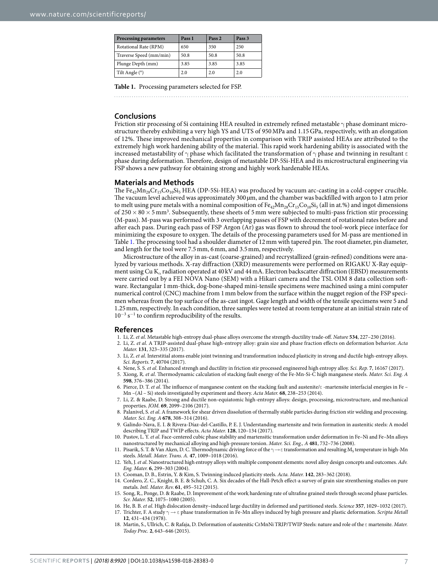<span id="page-6-16"></span>

| <b>Processing parameters</b> | Pass 1 | Pass 2 | Pass 3 |
|------------------------------|--------|--------|--------|
| Rotational Rate (RPM)        | 650    | 350    | 250    |
| Traverse Speed (mm/min)      | 50.8   | 50.8   | 50.8   |
| Plunge Depth (mm)            | 3.85   | 3.85   | 3.85   |
| Tilt Angle (°)               | 2.0    | 2.0    | 2.0    |

**Table 1.** Processing parameters selected for FSP.

#### **Conclusions**

Friction stir processing of Si containing HEA resulted in extremely refined metastable γ phase dominant microstructure thereby exhibiting a very high YS and UTS of 950 MPa and 1.15 GPa, respectively, with an elongation of 12%. These improved mechanical properties in comparison with TRIP assisted HEAs are attributed to the extremely high work hardening ability of the material. This rapid work hardening ability is associated with the increased metastability of  $\gamma$  phase which facilitated the transformation of  $\gamma$  phase and twinning in resultant  $\varepsilon$ phase during deformation. Therefore, design of metastable DP-5Si-HEA and its microstructural engineering via FSP shows a new pathway for obtaining strong and highly work hardenable HEAs.

#### **Materials and Methods**

The  $Fe_{42}Mn_{28}Cr_{15}Co_{10}Si_5 HEA$  (DP-5Si-HEA) was produced by vacuum arc-casting in a cold-copper crucible. The vacuum level achieved was approximately 300 µm, and the chamber was backfilled with argon to 1 atm prior to melt using pure metals with a nominal composition of  $Fe_{42}Mn_{28}Cr_{15}Co_{10}Si_5$  (all in at.%) and ingot dimensions of  $250 \times 80 \times 5$  mm<sup>3</sup>. Subsequently, these sheets of 5 mm were subjected to multi-pass friction stir processing (M-pass). M-pass was performed with 3 overlapping passes of FSP with decrement of rotational rates before and after each pass. During each pass of FSP Argon (Ar) gas was flown to shroud the tool-work piece interface for minimizing the exposure to oxygen. The details of the processing parameters used for M-pass are mentioned in Table [1.](#page-6-16) The processing tool had a shoulder diameter of 12 mm with tapered pin. The root diameter, pin diameter, and length for the tool were 7.5 mm, 6 mm, and 3.5 mm, respectively.

Microstructure of the alloy in as-cast (coarse-grained) and recrystallized (grain-refined) conditions were analyzed by various methods. X-ray diffraction (XRD) measurements were performed on RIGAKU X-Ray equipment using Cu  $K_{\alpha}$  radiation operated at 40 kV and 44 mA. Electron backscatter diffraction (EBSD) measurements were carried out by a FEI NOVA Nano (SEM) with a Hikari camera and the TSL OIM 8 data collection software. Rectangular 1 mm-thick, dog-bone-shaped mini-tensile specimens were machined using a mini computer numerical control (CNC) machine from 1 mm below from the surface within the nugget region of the FSP specimen whereas from the top surface of the as-cast ingot. Gage length and width of the tensile specimens were 5 and 1.25 mm, respectively. In each condition, three samples were tested at room temperature at an initial strain rate of 10<sup>−</sup><sup>3</sup> s<sup>−</sup><sup>1</sup> to confirm reproducibility of the results.

#### **References**

- <span id="page-6-0"></span>1. Li, Z. et al. Metastable high-entropy dual-phase alloys overcome the strength-ductility trade-off. Nature **534**, 227–230 (2016).
- <span id="page-6-1"></span> 2. Li, Z. et al. A TRIP-assisted dual-phase high-entropy alloy: grain size and phase fraction effects on deformation behavior. Acta Mater. **131**, 323–335 (2017).
- <span id="page-6-2"></span> 3. Li, Z. et al. Interstitial atoms enable joint twinning and transformation induced plasticity in strong and ductile high-entropy alloys. Sci. Reports. **7**, 40704 (2017).
- <span id="page-6-4"></span>4. Nene, S. S. et al. Enhanced strengh and ductility in friction stir processed engineered high entropy alloy. Sci. Rep. **7**, 16167 (2017).
- <span id="page-6-5"></span>5. Xiong, R. et al. Thermodynamic calculation of stacking fault energy of the Fe-Mn-Si-C high manganese steels. Mater. Sci. Eng. A **598**, 376–386 (2014).
- 6. Pierce, D. T. et al. The influence of manganese content on the stacking fault and austenite/ε -martensite interfacial energies in Fe Mn –(Al – Si) steels investigated by experiment and theory. Acta Mater. **68**, 238–253 (2014).
- <span id="page-6-3"></span> 7. Li, Z. & Raabe, D. Strong and ductile non-equiatomic high-entropy alloys: design, processing, microstructure, and mechanical properties. JOM. **69**, 2099–2106 (2017).
- <span id="page-6-6"></span>8. Palanivel, S. et al. A framework for shear driven dissolution of thermally stable particles during friction stir welding and processing. Mater. Sci. Eng. A **678**, 308–314 (2016).
- <span id="page-6-8"></span> 9. Galindo-Nava, E. I. & Rivera-Díaz-del-Castillo, P. E. J. Understanding martensite and twin formation in austenitic steels: A model describing TRIP and TWIP effects. Acta Mater. **128**, 120–134 (2017).
- 10. Pustov, L. Y. et al. Face-centered cubic phase stability and martensitic transformation under deformation in Fe–Ni and Fe–Mn alloys nanostructured by mechanical alloying and high-pressure torsion. Mater. Sci. Eng., A **481**, 732–736 (2008).
- <span id="page-6-7"></span>11. Pisarik, S. T. & Van Aken, D. C. Thermodynamic driving force of the  $\gamma \to \epsilon$  transformation and resulting  $M_S$  temperature in high-Mn steels. Metall. Mater. Trans. A. **47**, 1009–1018 (2016).
- <span id="page-6-9"></span>12. Yeh, J. et al. Nanostructured high entropy alloys with multiple component elements: novel alloy design concepts and outcomes. Adv. Eng. Mater. **6**, 299–303 (2004).
- <span id="page-6-14"></span>13. Cooman, D. B., Estrin, Y. & Kim, S. Twinning induced plasticity steels. Acta. Mater. **142**, 283–362 (2018).
- <span id="page-6-15"></span> 14. Cordero, Z. C., Knight, B. E. & Schuh, C. A. Six decades of the Hall-Petch effect-a survey of grain size strenthening studies on pure metals. Intl. Mater. Rev. **61**, 495–512 (2015).
- <span id="page-6-10"></span> 15. Song, R., Ponge, D. & Raabe, D. Improvement of the work hardening rate of ultrafine grained steels through second phase particles. Scr. Mater. **52**, 1075–1080 (2005).
- <span id="page-6-11"></span>16. He, B. B. et al. High dislocation density–induced large ductility in deformed and partitioned steels. Science **357**, 1029–1032 (2017).
- <span id="page-6-12"></span>17. Trichter, F. A study  $\gamma \to \varepsilon$  phase transformation in Fe-Mn alloys induced by high pressure and plastic deformation. Scripta Metall **12**, 431–434 (1978).
- <span id="page-6-13"></span> 18. Martin, S., Ullrich, C. & Rafaja, D. Deformation of austenitic CrMnNi TRIP/TWIP Steels: nature and role of the ε martensite. Mater. Today Proc. **2**, 643–646 (2015).